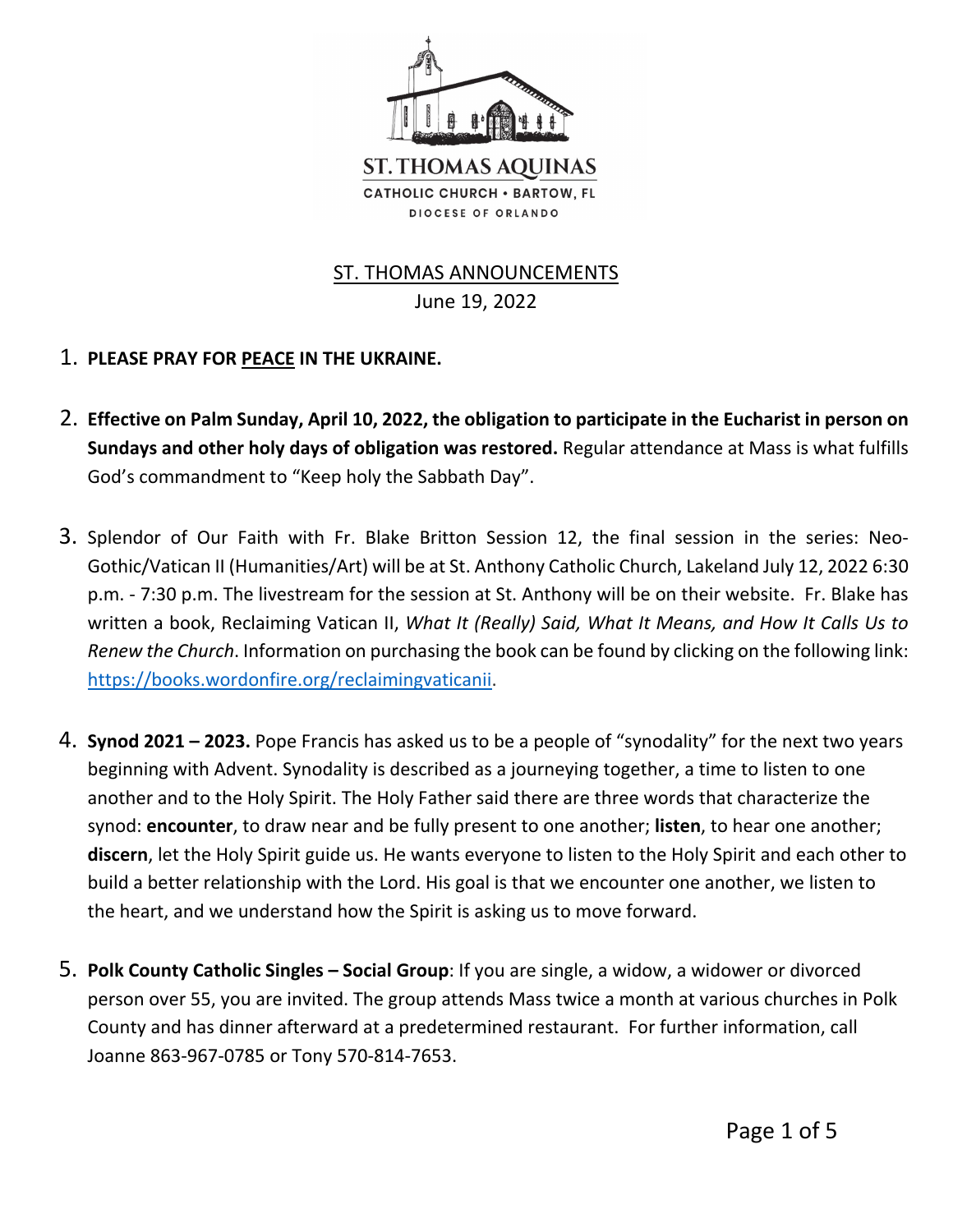

## ST. THOMAS ANNOUNCEMENTS

June 19, 2022

- 1. **PLEASE PRAY FOR PEACE IN THE UKRAINE.**
- 2. **Effective on Palm Sunday, April 10, 2022, the obligation to participate in the Eucharist in person on Sundays and other holy days of obligation was restored.** Regular attendance at Mass is what fulfills God's commandment to "Keep holy the Sabbath Day".
- 3. Splendor of Our Faith with Fr. Blake Britton Session 12, the final session in the series: Neo-Gothic/Vatican II (Humanities/Art) will be at St. Anthony Catholic Church, Lakeland July 12, 2022 6:30 p.m. - 7:30 p.m. The livestream for the session at St. Anthony will be on their website. Fr. Blake has written a book, Reclaiming Vatican II, *What It (Really) Said, What It Means, and How It Calls Us to Renew the Church*. Information on purchasing the book can be found by clicking on the following link: https://books.wordonfire.org/reclaimingvaticanii.
- 4. **Synod 2021 2023.** Pope Francis has asked us to be a people of "synodality" for the next two years beginning with Advent. Synodality is described as a journeying together, a time to listen to one another and to the Holy Spirit. The Holy Father said there are three words that characterize the synod: **encounter**, to draw near and be fully present to one another; **listen**, to hear one another; **discern**, let the Holy Spirit guide us. He wants everyone to listen to the Holy Spirit and each other to build a better relationship with the Lord. His goal is that we encounter one another, we listen to the heart, and we understand how the Spirit is asking us to move forward.
- 5. **Polk County Catholic Singles Social Group**: If you are single, a widow, a widower or divorced person over 55, you are invited. The group attends Mass twice a month at various churches in Polk County and has dinner afterward at a predetermined restaurant. For further information, call Joanne 863-967-0785 or Tony 570-814-7653.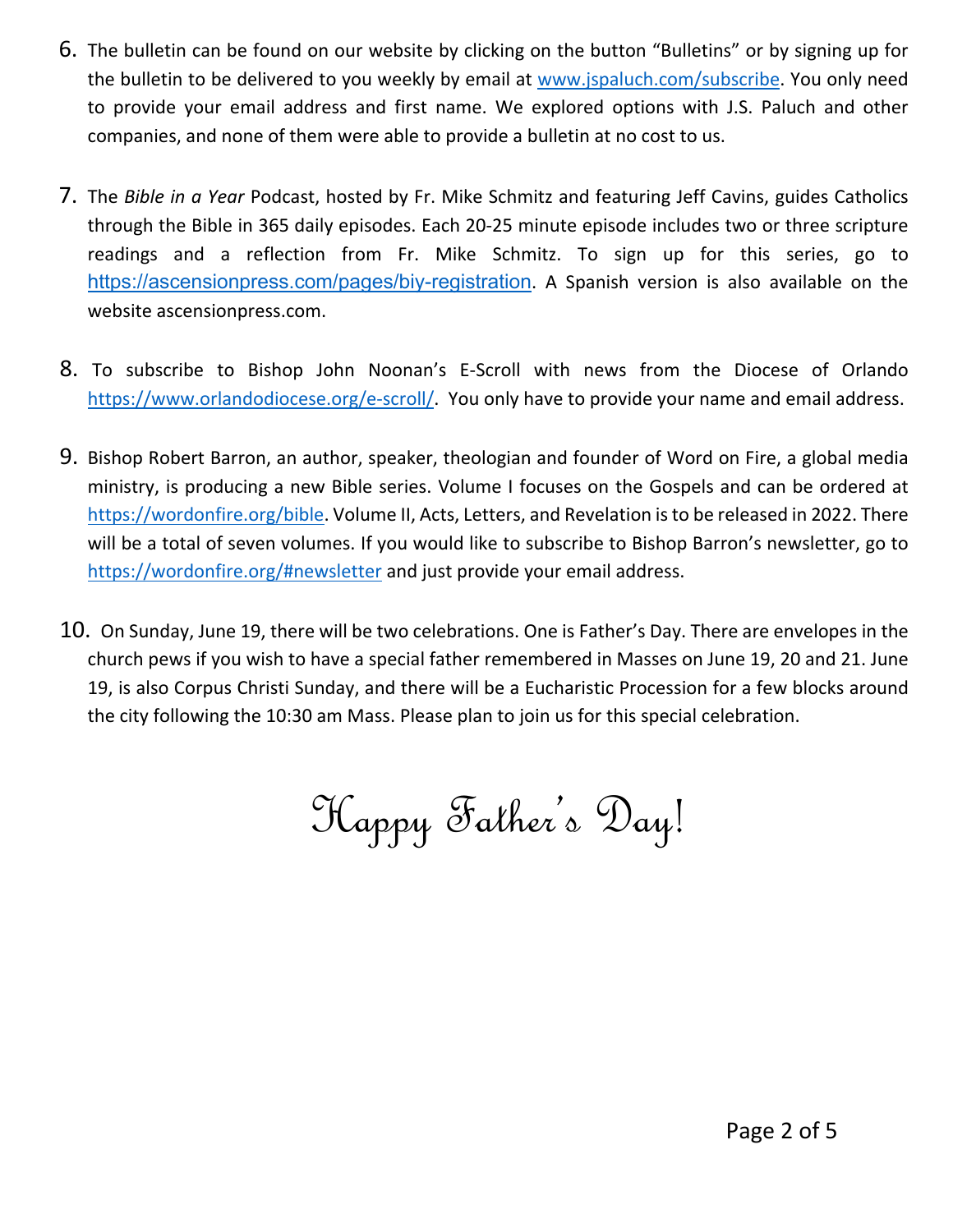- 6. The bulletin can be found on our website by clicking on the button "Bulletins" or by signing up for the bulletin to be delivered to you weekly by email at www.jspaluch.com/subscribe. You only need to provide your email address and first name. We explored options with J.S. Paluch and other companies, and none of them were able to provide a bulletin at no cost to us.
- 7. The *Bible in a Year* Podcast, hosted by Fr. Mike Schmitz and featuring Jeff Cavins, guides Catholics through the Bible in 365 daily episodes. Each 20-25 minute episode includes two or three scripture readings and a reflection from Fr. Mike Schmitz. To sign up for this series, go to https://ascensionpress.com/pages/biy-registration. A Spanish version is also available on the website ascensionpress.com.
- 8. To subscribe to Bishop John Noonan's E-Scroll with news from the Diocese of Orlando https://www.orlandodiocese.org/e-scroll/. You only have to provide your name and email address.
- 9. Bishop Robert Barron, an author, speaker, theologian and founder of Word on Fire, a global media ministry, is producing a new Bible series. Volume I focuses on the Gospels and can be ordered at https://wordonfire.org/bible. Volume II, Acts, Letters, and Revelation is to be released in 2022. There will be a total of seven volumes. If you would like to subscribe to Bishop Barron's newsletter, go to https://wordonfire.org/#newsletter and just provide your email address.
- 10. On Sunday, June 19, there will be two celebrations. One is Father's Day. There are envelopes in the church pews if you wish to have a special father remembered in Masses on June 19, 20 and 21. June 19, is also Corpus Christi Sunday, and there will be a Eucharistic Procession for a few blocks around the city following the 10:30 am Mass. Please plan to join us for this special celebration.

Happy Father's Day!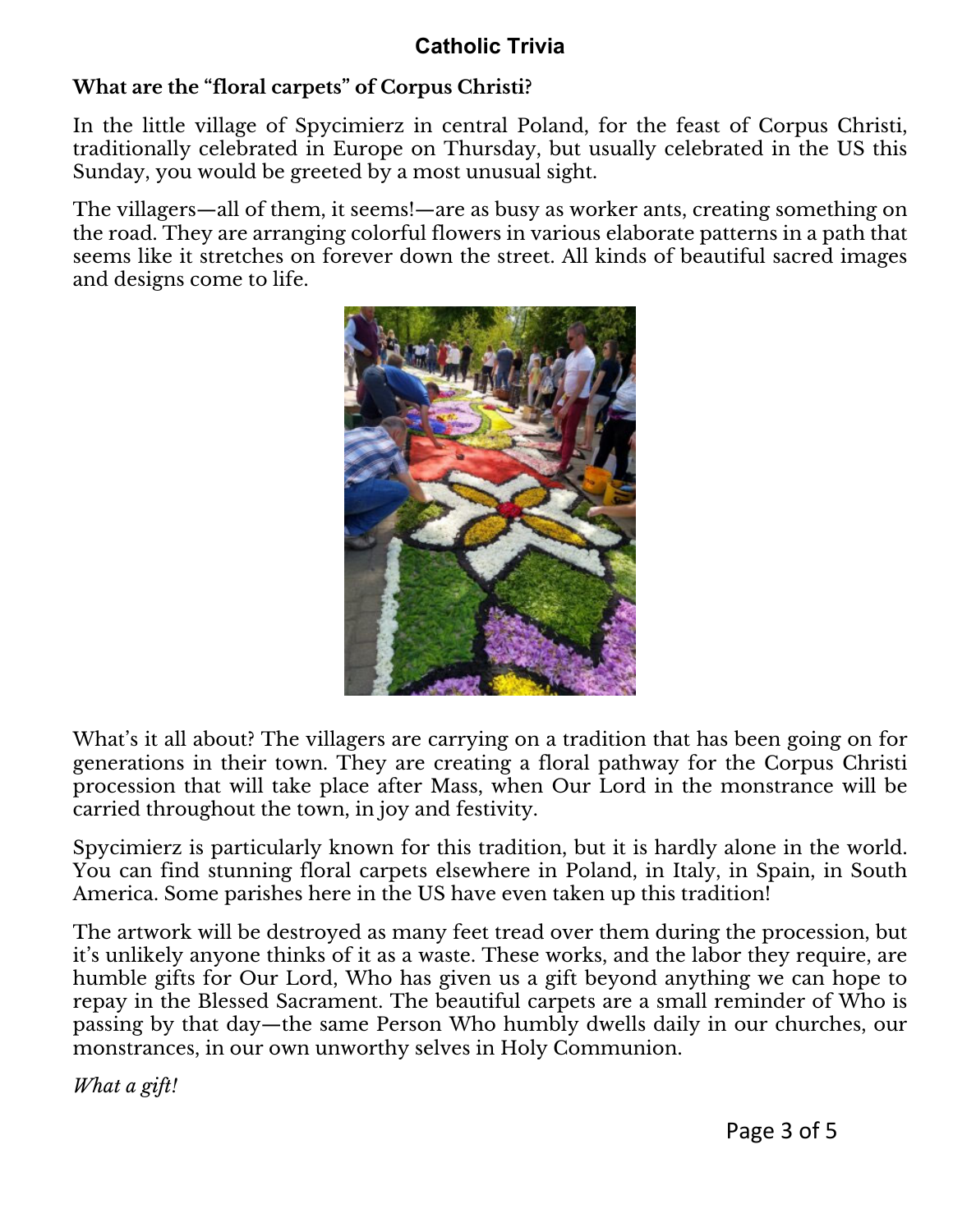## **Catholic Trivia**

## **What are the "floral carpets" of Corpus Christi?**

In the little village of Spycimierz in central Poland, for the feast of Corpus Christi, traditionally celebrated in Europe on Thursday, but usually celebrated in the US this Sunday, you would be greeted by a most unusual sight.

The villagers—all of them, it seems!—are as busy as worker ants, creating something on the road. They are arranging colorful flowers in various elaborate patterns in a path that seems like it stretches on forever down the street. All kinds of beautiful sacred images and designs come to life.



What's it all about? The villagers are carrying on a tradition that has been going on for generations in their town. They are creating a floral pathway for the Corpus Christi procession that will take place after Mass, when Our Lord in the monstrance will be carried throughout the town, in joy and festivity.

Spycimierz is particularly known for this tradition, but it is hardly alone in the world. You can find stunning floral carpets elsewhere in Poland, in Italy, in Spain, in South America. Some parishes here in the US have even taken up this tradition!

The artwork will be destroyed as many feet tread over them during the procession, but it's unlikely anyone thinks of it as a waste. These works, and the labor they require, are humble gifts for Our Lord, Who has given us a gift beyond anything we can hope to repay in the Blessed Sacrament. The beautiful carpets are a small reminder of Who is passing by that day—the same Person Who humbly dwells daily in our churches, our monstrances, in our own unworthy selves in Holy Communion.

*What a gift!*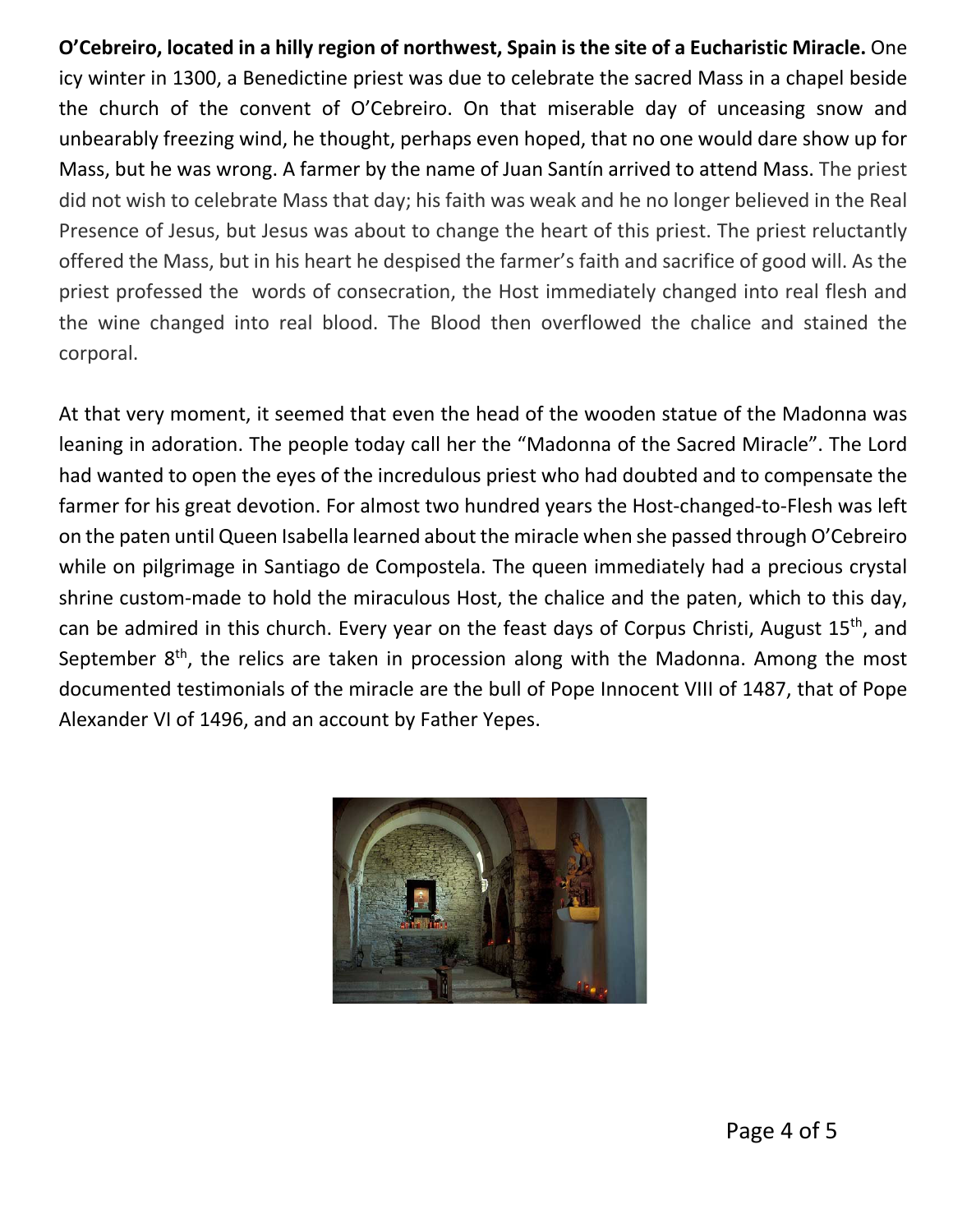**O'Cebreiro, located in a hilly region of northwest, Spain is the site of a Eucharistic Miracle.** One icy winter in 1300, a Benedictine priest was due to celebrate the sacred Mass in a chapel beside the church of the convent of O'Cebreiro. On that miserable day of unceasing snow and unbearably freezing wind, he thought, perhaps even hoped, that no one would dare show up for Mass, but he was wrong. A farmer by the name of Juan Santín arrived to attend Mass. The priest did not wish to celebrate Mass that day; his faith was weak and he no longer believed in the Real Presence of Jesus, but Jesus was about to change the heart of this priest. The priest reluctantly offered the Mass, but in his heart he despised the farmer's faith and sacrifice of good will. As the priest professed the words of consecration, the Host immediately changed into real flesh and the wine changed into real blood. The Blood then overflowed the chalice and stained the corporal.

At that very moment, it seemed that even the head of the wooden statue of the Madonna was leaning in adoration. The people today call her the "Madonna of the Sacred Miracle". The Lord had wanted to open the eyes of the incredulous priest who had doubted and to compensate the farmer for his great devotion. For almost two hundred years the Host-changed-to-Flesh was left on the paten until Queen Isabella learned about the miracle when she passed through O'Cebreiro while on pilgrimage in Santiago de Compostela. The queen immediately had a precious crystal shrine custom-made to hold the miraculous Host, the chalice and the paten, which to this day, can be admired in this church. Every year on the feast days of Corpus Christi, August 15<sup>th</sup>, and September  $8<sup>th</sup>$ , the relics are taken in procession along with the Madonna. Among the most documented testimonials of the miracle are the bull of Pope Innocent VIII of 1487, that of Pope Alexander VI of 1496, and an account by Father Yepes.